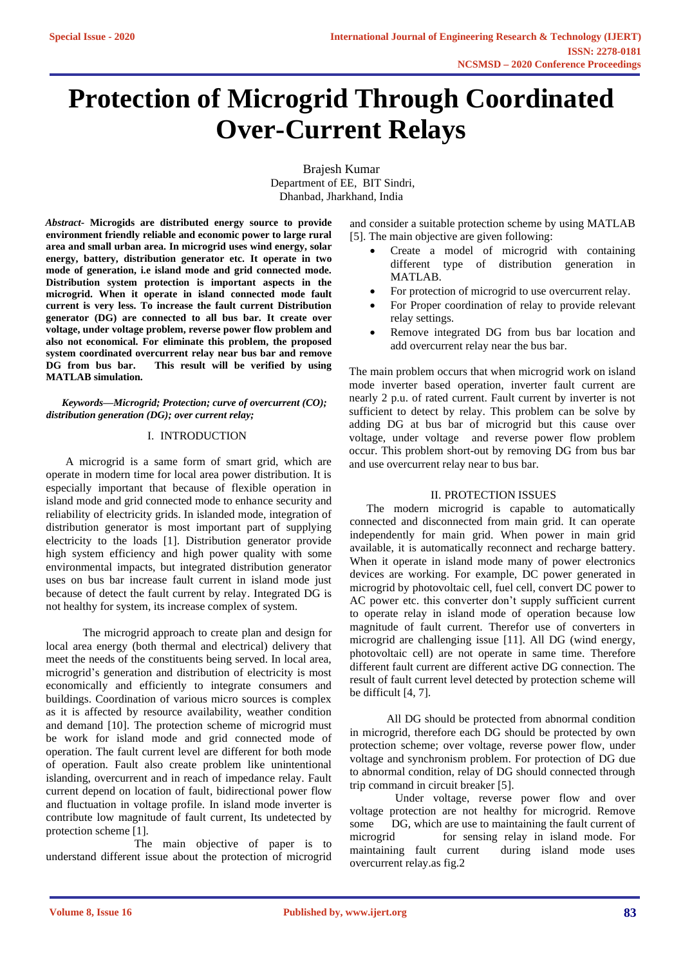# **Protection of Microgrid Through Coordinated Over-Current Relays**

Brajesh Kumar Department of EE, BIT Sindri, Dhanbad, Jharkhand, India

*Abstract***- Microgids are distributed energy source to provide environment friendly reliable and economic power to large rural area and small urban area. In microgrid uses wind energy, solar energy, battery, distribution generator etc. It operate in two mode of generation, i.e island mode and grid connected mode. Distribution system protection is important aspects in the microgrid. When it operate in island connected mode fault current is very less. To increase the fault current Distribution generator (DG) are connected to all bus bar. It create over voltage, under voltage problem, reverse power flow problem and also not economical. For eliminate this problem, the proposed system coordinated overcurrent relay near bus bar and remove DG from bus bar. This result will be verified by using MATLAB simulation.**

*Keywords—Microgrid; Protection; curve of overcurrent (CO); distribution generation (DG); over current relay;* 

# I. INTRODUCTION

 A microgrid is a same form of smart grid, which are operate in modern time for local area power distribution. It is especially important that because of flexible operation in island mode and grid connected mode to enhance security and reliability of electricity grids. In islanded mode, integration of distribution generator is most important part of supplying electricity to the loads [1]. Distribution generator provide high system efficiency and high power quality with some environmental impacts, but integrated distribution generator uses on bus bar increase fault current in island mode just because of detect the fault current by relay. Integrated DG is not healthy for system, its increase complex of system.

 The microgrid approach to create plan and design for local area energy (both thermal and electrical) delivery that meet the needs of the constituents being served. In local area, microgrid's generation and distribution of electricity is most economically and efficiently to integrate consumers and buildings. Coordination of various micro sources is complex as it is affected by resource availability, weather condition and demand [10]. The protection scheme of microgrid must be work for island mode and grid connected mode of operation. The fault current level are different for both mode of operation. Fault also create problem like unintentional islanding, overcurrent and in reach of impedance relay. Fault current depend on location of fault, bidirectional power flow and fluctuation in voltage profile. In island mode inverter is contribute low magnitude of fault current, Its undetected by protection scheme [1].

 The main objective of paper is to understand different issue about the protection of microgrid

and consider a suitable protection scheme by using MATLAB [5]. The main objective are given following:

- Create a model of microgrid with containing different type of distribution generation in MATLAB.
- For protection of microgrid to use overcurrent relay.
- For Proper coordination of relay to provide relevant relay settings.
- Remove integrated DG from bus bar location and add overcurrent relay near the bus bar.

The main problem occurs that when microgrid work on island mode inverter based operation, inverter fault current are nearly 2 p.u. of rated current. Fault current by inverter is not sufficient to detect by relay. This problem can be solve by adding DG at bus bar of microgrid but this cause over voltage, under voltage and reverse power flow problem occur. This problem short-out by removing DG from bus bar and use overcurrent relay near to bus bar.

### II. PROTECTION ISSUES

 The modern microgrid is capable to automatically connected and disconnected from main grid. It can operate independently for main grid. When power in main grid available, it is automatically reconnect and recharge battery. When it operate in island mode many of power electronics devices are working. For example, DC power generated in microgrid by photovoltaic cell, fuel cell, convert DC power to AC power etc. this converter don't supply sufficient current to operate relay in island mode of operation because low magnitude of fault current. Therefor use of converters in microgrid are challenging issue [11]. All DG (wind energy, photovoltaic cell) are not operate in same time. Therefore different fault current are different active DG connection. The result of fault current level detected by protection scheme will be difficult [4, 7].

 All DG should be protected from abnormal condition in microgrid, therefore each DG should be protected by own protection scheme; over voltage, reverse power flow, under voltage and synchronism problem. For protection of DG due to abnormal condition, relay of DG should connected through trip command in circuit breaker [5].

 Under voltage, reverse power flow and over voltage protection are not healthy for microgrid. Remove some DG, which are use to maintaining the fault current of microgrid for sensing relay in island mode. For maintaining fault current during island mode uses maintaining fault current overcurrent relay.as fig.2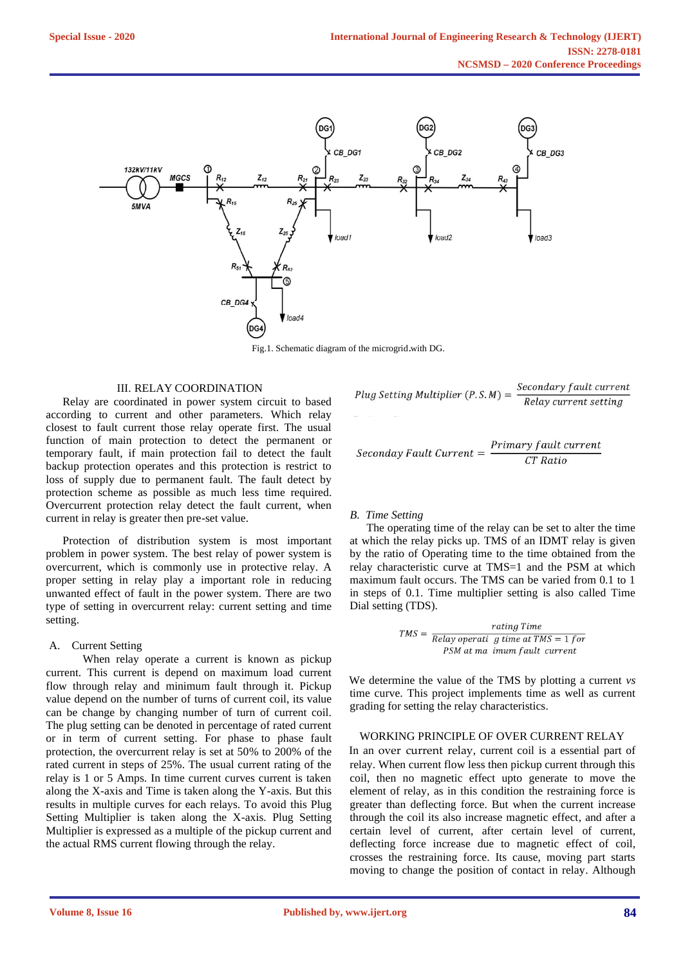

Fig.1. Schematic diagram of the microgrid. with DG.

#### III. RELAY COORDINATION

 Relay are coordinated in power system circuit to based according to current and other parameters. Which relay closest to fault current those relay operate first. The usual function of main protection to detect the permanent or temporary fault, if main protection fail to detect the fault backup protection operates and this protection is restrict to loss of supply due to permanent fault. The fault detect by protection scheme as possible as much less time required. Overcurrent protection relay detect the fault current, when current in relay is greater then pre-set value.

 Protection of distribution system is most important problem in power system. The best relay of power system is overcurrent, which is commonly use in protective relay. A proper setting in relay play a important role in reducing unwanted effect of fault in the power system. There are two type of setting in overcurrent relay: current setting and time setting.

### A. Current Setting

 When relay operate a current is known as pickup current. This current is depend on maximum load current flow through relay and minimum fault through it. Pickup value depend on the number of turns of current coil, its value can be change by changing number of turn of current coil. The plug setting can be denoted in percentage of rated current or in term of current setting. For phase to phase fault protection, the overcurrent relay is set at 50% to 200% of the rated current in steps of 25%. The usual current rating of the relay is 1 or 5 Amps. In time current curves current is taken along the X-axis and Time is taken along the Y-axis. But this results in multiple curves for each relays. To avoid this Plug Setting Multiplier is taken along the X-axis. Plug Setting Multiplier is expressed as a multiple of the pickup current and the actual RMS current flowing through the relay.

$$
Plug Setting \; Multiplier \; (P.S.M) = \frac{Secondary \; fault \; current}{Relay \; current \; setting}
$$

$$
Seconday \; Fault \; Current = \frac{Primary \; fault \; current}{CT \; Ratio}
$$

#### *B. Time Setting*

 The operating time of the relay can be set to alter the time at which the relay picks up. TMS of an IDMT relay is given by the ratio of Operating time to the time obtained from the relay characteristic curve at TMS=1 and the PSM at which maximum fault occurs. The TMS can be varied from 0.1 to 1 in steps of 0.1. Time multiplier setting is also called Time Dial setting (TDS).

$$
TMS = \frac{rating Time}{Relay operati \ g \ time \ at \ TMS = 1 for}
$$
  
PSM at ma *imum fault current*

We determine the value of the TMS by plotting a current *vs*  time curve. This project implements time as well as current grading for setting the relay characteristics.

#### WORKING PRINCIPLE OF OVER CURRENT RELAY

In an over current relay, current coil is a essential part of relay. When current flow less then pickup current through this coil, then no magnetic effect upto generate to move the element of relay, as in this condition the restraining force is greater than deflecting force. But when the current increase through the coil its also increase magnetic effect, and after a certain level of current, after certain level of current, deflecting force increase due to magnetic effect of coil, crosses the restraining force. Its cause, moving part starts moving to change the position of contact in relay. Although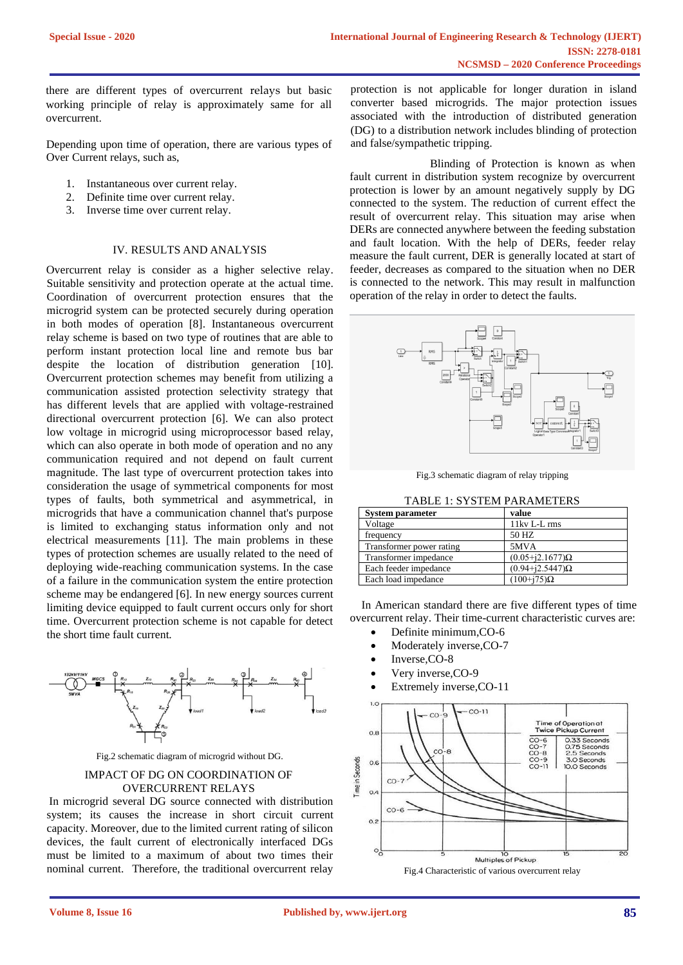there are different types of overcurrent relays but basic working principle of relay is approximately same for all overcurrent.

Depending upon time of operation, there are various types of Over Current relays, such as,

- 1. Instantaneous over current relay.
- 2. Definite time over current relay.
- 3. Inverse time over current relay.

# IV. RESULTS AND ANALYSIS

Overcurrent relay is consider as a higher selective relay. Suitable sensitivity and protection operate at the actual time. Coordination of overcurrent protection ensures that the microgrid system can be protected securely during operation in both modes of operation [8]. Instantaneous overcurrent relay scheme is based on two type of routines that are able to perform instant protection local line and remote bus bar despite the location of distribution generation [10]. Overcurrent protection schemes may benefit from utilizing a communication assisted protection selectivity strategy that has different levels that are applied with voltage-restrained directional overcurrent protection [6]. We can also protect low voltage in microgrid using microprocessor based relay, which can also operate in both mode of operation and no any communication required and not depend on fault current magnitude. The last type of overcurrent protection takes into consideration the usage of symmetrical components for most types of faults, both symmetrical and asymmetrical, in microgrids that have a communication channel that's purpose is limited to exchanging status information only and not electrical measurements [11]. The main problems in these types of protection schemes are usually related to the need of deploying wide-reaching communication systems. In the case of a failure in the communication system the entire protection scheme may be endangered [6]. In new energy sources current limiting device equipped to fault current occurs only for short time. Overcurrent protection scheme is not capable for detect the short time fault current.



Fig.2 schematic diagram of microgrid without DG.

# IMPACT OF DG ON COORDINATION OF OVERCURRENT RELAYS

In microgrid several DG source connected with distribution system; its causes the increase in short circuit current capacity. Moreover, due to the limited current rating of silicon devices, the fault current of electronically interfaced DGs must be limited to a maximum of about two times their nominal current. Therefore, the traditional overcurrent relay protection is not applicable for longer duration in island converter based microgrids. The major protection issues associated with the introduction of distributed generation (DG) to a distribution network includes blinding of protection and false/sympathetic tripping.

 Blinding of Protection is known as when fault current in distribution system recognize by overcurrent protection is lower by an amount negatively supply by DG connected to the system. The reduction of current effect the result of overcurrent relay. This situation may arise when DERs are connected anywhere between the feeding substation and fault location. With the help of DERs, feeder relay measure the fault current, DER is generally located at start of feeder, decreases as compared to the situation when no DER is connected to the network. This may result in malfunction operation of the relay in order to detect the faults.



Fig.3 schematic diagram of relay tripping

| <b>System parameter</b>  | value                       |
|--------------------------|-----------------------------|
| Voltage                  | 11kv L-L rms                |
| frequency                | 50 HZ                       |
| Transformer power rating | 5MVA                        |
| Transformer impedance    | $(0.05 + i2.1677)$ $\Omega$ |
| Each feeder impedance    | $(0.94 + j2.5447)\Omega$    |
| Each load impedance      | $(100+175)\Omega$           |

 In American standard there are five different types of time overcurrent relay. Their time-current characteristic curves are:

- Definite minimum,CO-6
- Moderately inverse,CO-7
- Inverse,CO-8
- Very inverse,CO-9
- Extremely inverse, CO-11